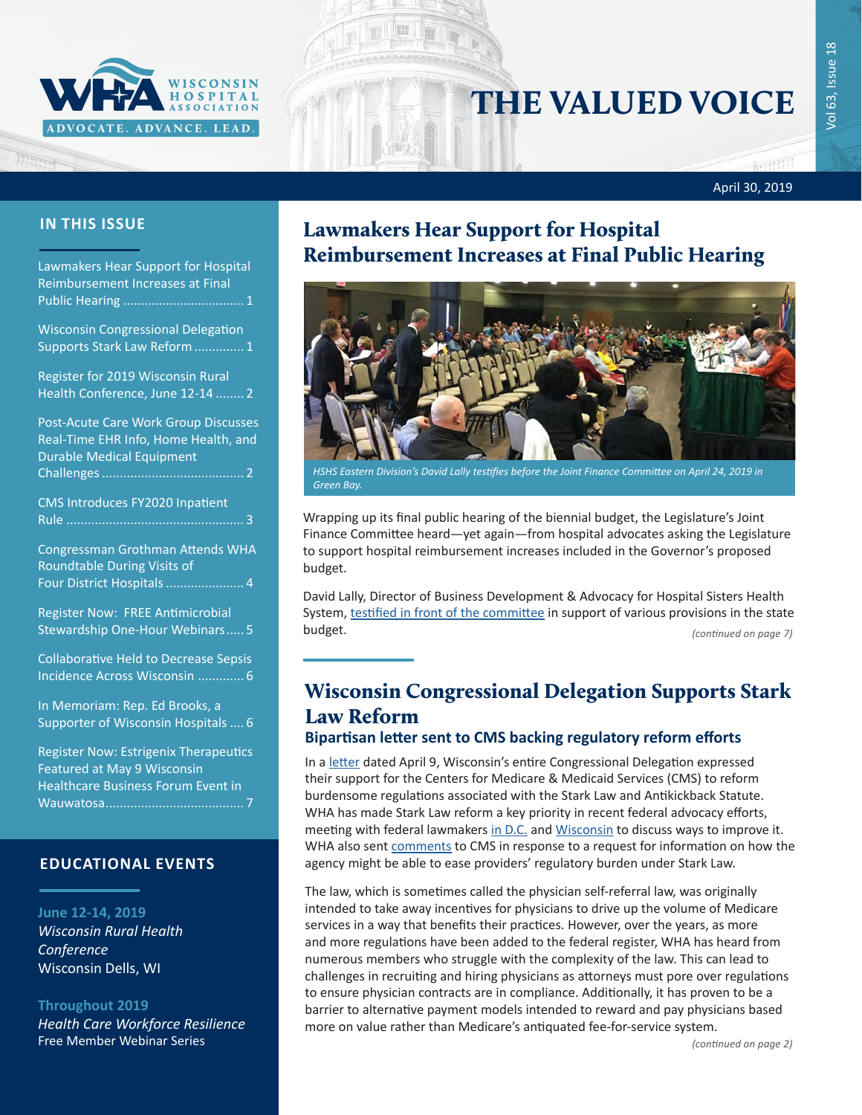

# THE VALUED VOICE

April 30, 2019

man

#### **IN THIS ISSUE**

Lawmakers Hear Support for Hospital Reimbursement Increases at Final Public Hearing .................................. 1

Wisconsin Congressional Delegation Supports Stark Law Reform.............. 1

[Register for 2019 Wisconsin Rural](#page-1-0)  [Health Conference, June 12-14](#page-1-0) ........ 2

[Post-Acute Care Work Group Discusses](#page-1-0)  [Real-Time EHR Info, Home Health, and](#page-1-0)  [Durable Medical Equipment](#page-1-0)  [Challenges........................................](#page-1-0) 2

[CMS Introduces FY2020 Inpatient](#page-2-0)  Rule [..................................................](#page-2-0) 3

[Congressman Grothman Attends WHA](#page-3-0)  [Roundtable During Visits of](#page-3-0)  [Four District Hospitals......................](#page-3-0) 4

[Register Now: FREE Antimicrobial](#page-4-0)  [Stewardship One-Hour Webinars.....](#page-4-0) 5

[Collaborative Held to Decrease Sepsis](#page-5-0)  [Incidence Across Wisconsin](#page-5-0) ............. 6

[In Memoriam: Rep. Ed Brooks, a](#page-5-0)  [Supporter of Wisconsin Hospitals](#page-5-0) .... 6

[Register Now: Estrigenix Therapeutics](#page-6-0)  [Featured at May 9 Wisconsin](#page-6-0)  [Healthcare Business Forum Event in](#page-6-0)  [Wauwatosa.......................................](#page-6-0) 7

#### **EDUCATIONAL EVENTS**

**June 12-14, 2019** *[Wisconsin Rural Health](http://www.cvent.com/d/b6q37j)  [Conference](http://www.cvent.com/d/b6q37j)* Wisconsin Dells, WI

**Throughout 2019** *[Health Care Workforce Resilience](http://www.whareg4.org/WorkforceResilience/)* Free Member Webinar Series

### Lawmakers Hear Support for Hospital Reimbursement Increases at Final Public Hearing



*HSHS Eastern Division's David Lally testifies before the Joint Finance Committee on April 24, 2019 in Green Bay.*

Wrapping up its final public hearing of the biennial budget, the Legislature's Joint Finance Committee heard—yet again—from hospital advocates asking the Legislature to support hospital reimbursement increases included in the Governor's proposed budget.

David Lally, Director of Business Development & Advocacy for Hospital Sisters Health System, [testified in front of the committee](https://wiseye.org/2019/04/24/joint-committee-on-finance-budget-2019-public-hearing-in-green-bay/?startStreamAt=18693&stopStreamAt=18824) in support of various provisions in the state budget. *(continued on page 7)*

## Wisconsin Congressional Delegation Supports Stark Law Reform

#### **Bipartisan letter sent to CMS backing regulatory reform efforts**

In a [letter](https://www.wha.org/WisconsinHospitalAssociation/media/WHACommon/CommentLetters/2019WI-DelegationLetterStarkAKS4-9.pdf) dated April 9, Wisconsin's entire Congressional Delegation expressed their support for the Centers for Medicare & Medicaid Services (CMS) to reform burdensome regulations associated with the Stark Law and Antikickback Statute. WHA has made Stark Law reform a key priority in recent federal advocacy efforts, meeting with federal lawmakers [in D.C.](https://www.wha.org/MediaRoom/WHANewsletter/2018/05-11-2018#s3) and [Wisconsin](https://www.wha.org/WisconsinHospitalAssociation/media/WHANewsLetters/2018PDF/WHA-Newsletter-9-25-2018.pdf#page=3) to discuss ways to improve it. WHA also sent [comments](https://www.wha.org/WisconsinHospitalAssociation/media/WHANewsLetters/2018PDF/WHA-Newsletter-8-28-2018.pdf#page=2) to CMS in response to a request for information on how the agency might be able to ease providers' regulatory burden under Stark Law.

The law, which is sometimes called the physician self-referral law, was originally intended to take away incentives for physicians to drive up the volume of Medicare services in a way that benefits their practices. However, over the years, as more and more regulations have been added to the federal register, WHA has heard from numerous members who struggle with the complexity of the law. This can lead to challenges in recruiting and hiring physicians as attorneys must pore over regulations to ensure physician contracts are in compliance. Additionally, it has proven to be a barrier to alternative payment models intended to reward and pay physicians based more on value rather than Medicare's antiquated fee-for-service system.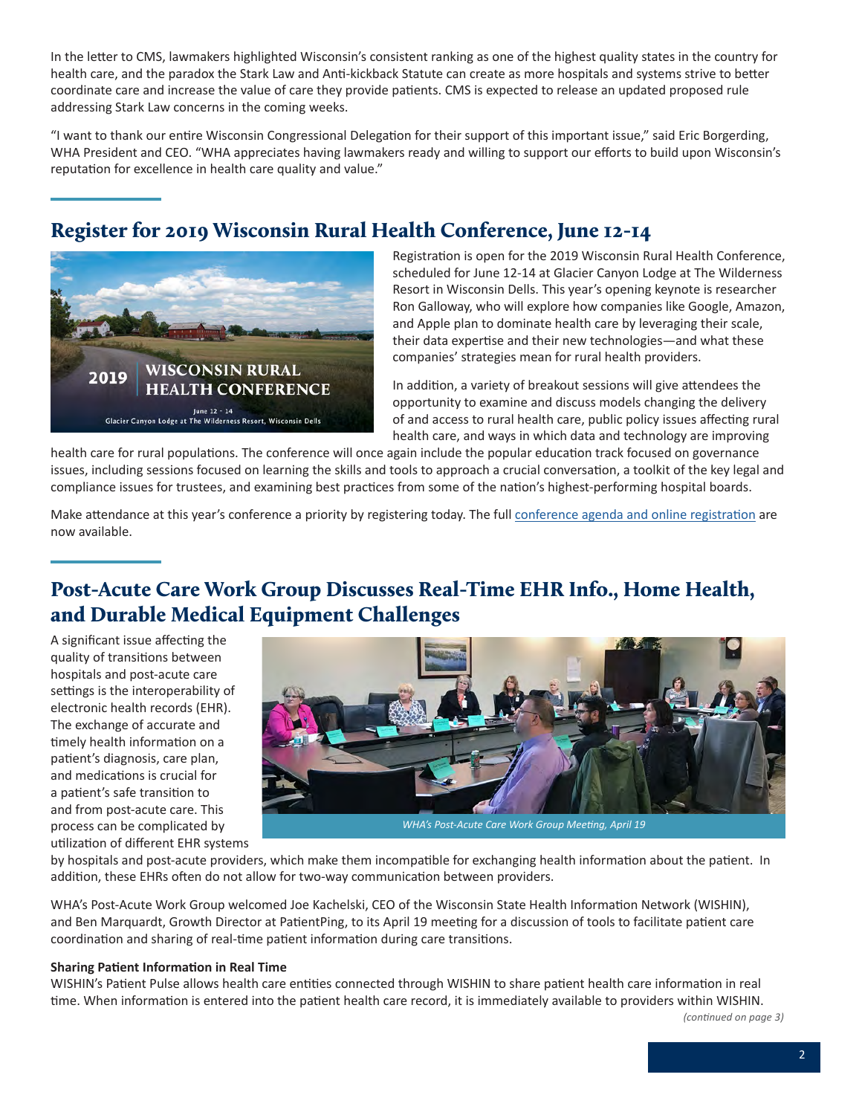<span id="page-1-0"></span>In the letter to CMS, lawmakers highlighted Wisconsin's consistent ranking as one of the highest quality states in the country for health care, and the paradox the Stark Law and Anti-kickback Statute can create as more hospitals and systems strive to better coordinate care and increase the value of care they provide patients. CMS is expected to release an updated proposed rule addressing Stark Law concerns in the coming weeks.

"I want to thank our entire Wisconsin Congressional Delegation for their support of this important issue," said Eric Borgerding, WHA President and CEO. "WHA appreciates having lawmakers ready and willing to support our efforts to build upon Wisconsin's reputation for excellence in health care quality and value."

## Register for 2019 Wisconsin Rural Health Conference, June 12-14



Registration is open for the 2019 Wisconsin Rural Health Conference, scheduled for June 12-14 at Glacier Canyon Lodge at The Wilderness Resort in Wisconsin Dells. This year's opening keynote is researcher Ron Galloway, who will explore how companies like Google, Amazon, and Apple plan to dominate health care by leveraging their scale, their data expertise and their new technologies—and what these companies' strategies mean for rural health providers.

In addition, a variety of breakout sessions will give attendees the opportunity to examine and discuss models changing the delivery of and access to rural health care, public policy issues affecting rural health care, and ways in which data and technology are improving

health care for rural populations. The conference will once again include the popular education track focused on governance issues, including sessions focused on learning the skills and tools to approach a crucial conversation, a toolkit of the key legal and compliance issues for trustees, and examining best practices from some of the nation's highest-performing hospital boards.

Make attendance at this year's conference a priority by registering today. The full [conference agenda and online registration](http://www.cvent.com/events/19l-rhc-0612-0614/event-summary-84b1af4b7e5c4a14ab055d857a235185.aspx) are now available.

## Post-Acute Care Work Group Discusses Real-Time EHR Info., Home Health, and Durable Medical Equipment Challenges

A significant issue affecting the quality of transitions between hospitals and post-acute care settings is the interoperability of electronic health records (EHR). The exchange of accurate and timely health information on a patient's diagnosis, care plan, and medications is crucial for a patient's safe transition to and from post-acute care. This process can be complicated by utilization of different EHR systems



by hospitals and post-acute providers, which make them incompatible for exchanging health information about the patient. In addition, these EHRs often do not allow for two-way communication between providers.

WHA's Post-Acute Work Group welcomed Joe Kachelski, CEO of the Wisconsin State Health Information Network (WISHIN), and Ben Marquardt, Growth Director at PatientPing, to its April 19 meeting for a discussion of tools to facilitate patient care coordination and sharing of real-time patient information during care transitions.

#### **Sharing Patient Information in Real Time**

WISHIN's Patient Pulse allows health care entities connected through WISHIN to share patient health care information in real time. When information is entered into the patient health care record, it is immediately available to providers within WISHIN.

*(continued on page 3)*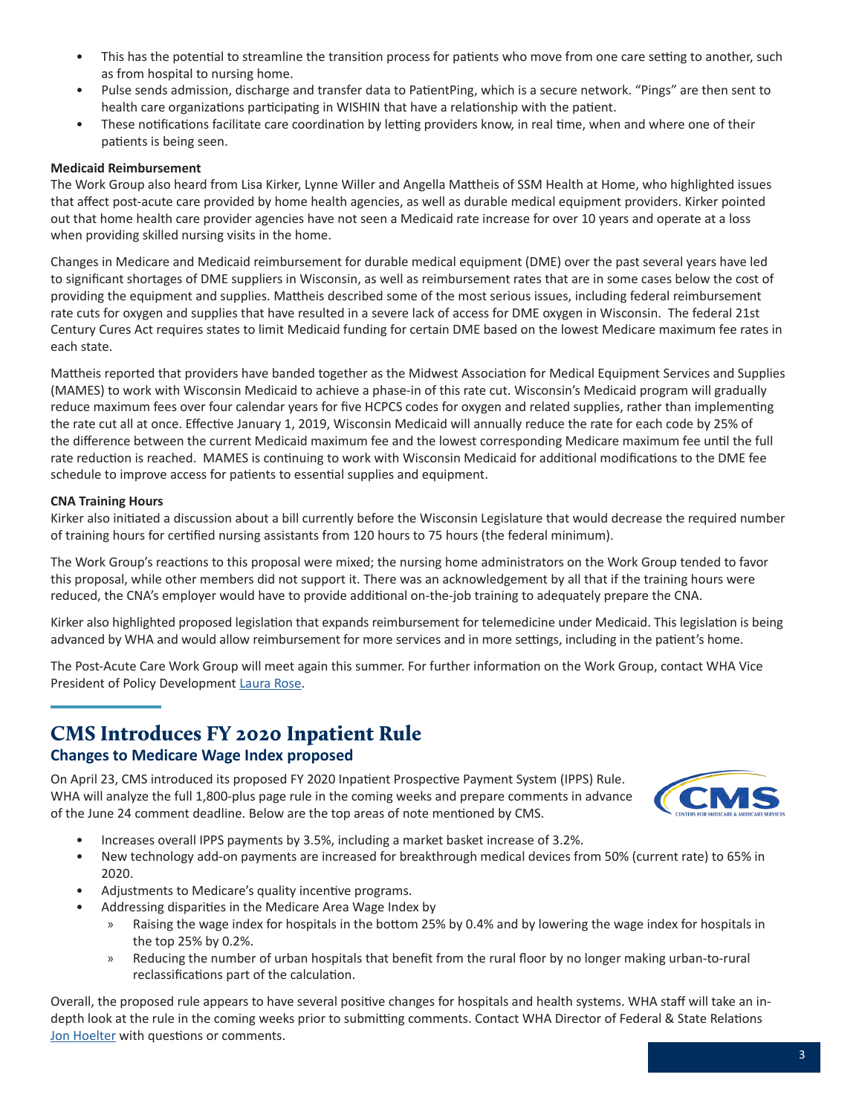- <span id="page-2-0"></span>• This has the potential to streamline the transition process for patients who move from one care setting to another, such as from hospital to nursing home.
- Pulse sends admission, discharge and transfer data to PatientPing, which is a secure network. "Pings" are then sent to health care organizations participating in WISHIN that have a relationship with the patient.
- These notifications facilitate care coordination by letting providers know, in real time, when and where one of their patients is being seen.

#### **Medicaid Reimbursement**

The Work Group also heard from Lisa Kirker, Lynne Willer and Angella Mattheis of SSM Health at Home, who highlighted issues that affect post-acute care provided by home health agencies, as well as durable medical equipment providers. Kirker pointed out that home health care provider agencies have not seen a Medicaid rate increase for over 10 years and operate at a loss when providing skilled nursing visits in the home.

Changes in Medicare and Medicaid reimbursement for durable medical equipment (DME) over the past several years have led to significant shortages of DME suppliers in Wisconsin, as well as reimbursement rates that are in some cases below the cost of providing the equipment and supplies. Mattheis described some of the most serious issues, including federal reimbursement rate cuts for oxygen and supplies that have resulted in a severe lack of access for DME oxygen in Wisconsin. The federal 21st Century Cures Act requires states to limit Medicaid funding for certain DME based on the lowest Medicare maximum fee rates in each state.

Mattheis reported that providers have banded together as the Midwest Association for Medical Equipment Services and Supplies (MAMES) to work with Wisconsin Medicaid to achieve a phase-in of this rate cut. Wisconsin's Medicaid program will gradually reduce maximum fees over four calendar years for five HCPCS codes for oxygen and related supplies, rather than implementing the rate cut all at once. Effective January 1, 2019, Wisconsin Medicaid will annually reduce the rate for each code by 25% of the difference between the current Medicaid maximum fee and the lowest corresponding Medicare maximum fee until the full rate reduction is reached. MAMES is continuing to work with Wisconsin Medicaid for additional modifications to the DME fee schedule to improve access for patients to essential supplies and equipment.

#### **CNA Training Hours**

Kirker also initiated a discussion about a bill currently before the Wisconsin Legislature that would decrease the required number of training hours for certified nursing assistants from 120 hours to 75 hours (the federal minimum).

The Work Group's reactions to this proposal were mixed; the nursing home administrators on the Work Group tended to favor this proposal, while other members did not support it. There was an acknowledgement by all that if the training hours were reduced, the CNA's employer would have to provide additional on-the-job training to adequately prepare the CNA.

Kirker also highlighted proposed legislation that expands reimbursement for telemedicine under Medicaid. This legislation is being advanced by WHA and would allow reimbursement for more services and in more settings, including in the patient's home.

The Post-Acute Care Work Group will meet again this summer. For further information on the Work Group, contact WHA Vice President of Policy Development [Laura Rose](mailto:lrose@wha.org).

### CMS Introduces FY 2020 Inpatient Rule **Changes to Medicare Wage Index proposed**

On April 23, CMS introduced its proposed FY 2020 Inpatient Prospective Payment System (IPPS) Rule. WHA will analyze the full 1,800-plus page rule in the coming weeks and prepare comments in advance of the June 24 comment deadline. Below are the top areas of note mentioned by CMS.



- Increases overall IPPS payments by 3.5%, including a market basket increase of 3.2%.
- New technology add-on payments are increased for breakthrough medical devices from 50% (current rate) to 65% in 2020.
- Adjustments to Medicare's quality incentive programs.
- Addressing disparities in the Medicare Area Wage Index by
	- » Raising the wage index for hospitals in the bottom 25% by 0.4% and by lowering the wage index for hospitals in the top 25% by 0.2%.
	- » Reducing the number of urban hospitals that benefit from the rural floor by no longer making urban-to-rural reclassifications part of the calculation.

Overall, the proposed rule appears to have several positive changes for hospitals and health systems. WHA staff will take an indepth look at the rule in the coming weeks prior to submitting comments. Contact WHA Director of Federal & State Relations [Jon Hoelter](mailto:jhoelter@wha.org) with questions or comments.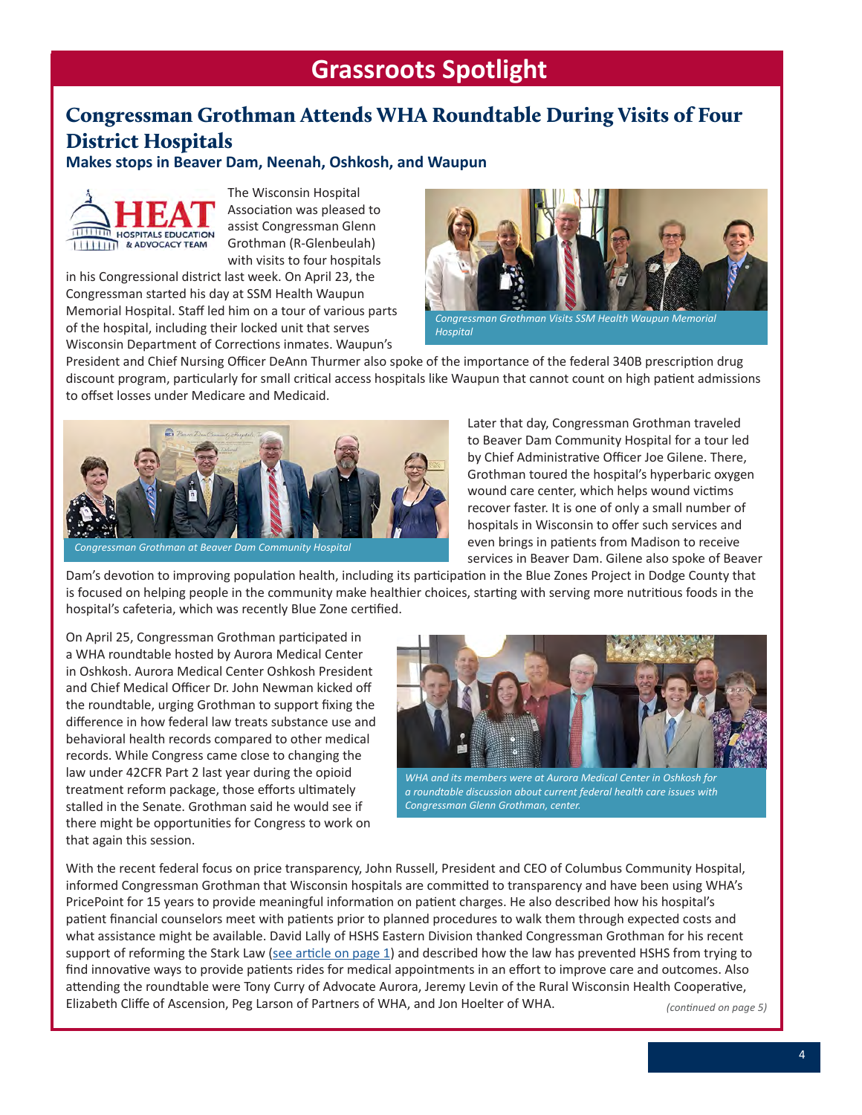## **Grassroots Spotlight**

### <span id="page-3-0"></span>Congressman Grothman Attends WHA Roundtable During Visits of Four District Hospitals

**Makes stops in Beaver Dam, Neenah, Oshkosh, and Waupun**



The Wisconsin Hospital Association was pleased to assist Congressman Glenn Grothman (R-Glenbeulah) with visits to four hospitals

in his Congressional district last week. On April 23, the Congressman started his day at SSM Health Waupun Memorial Hospital. Staff led him on a tour of various parts of the hospital, including their locked unit that serves Wisconsin Department of Corrections inmates. Waupun's



*Hospital*

President and Chief Nursing Officer DeAnn Thurmer also spoke of the importance of the federal 340B prescription drug discount program, particularly for small critical access hospitals like Waupun that cannot count on high patient admissions to offset losses under Medicare and Medicaid.



*Congressman Grothman at Beaver Dam Community Hospital*

Later that day, Congressman Grothman traveled to Beaver Dam Community Hospital for a tour led by Chief Administrative Officer Joe Gilene. There, Grothman toured the hospital's hyperbaric oxygen wound care center, which helps wound victims recover faster. It is one of only a small number of hospitals in Wisconsin to offer such services and even brings in patients from Madison to receive services in Beaver Dam. Gilene also spoke of Beaver

Dam's devotion to improving population health, including its participation in the Blue Zones Project in Dodge County that is focused on helping people in the community make healthier choices, starting with serving more nutritious foods in the hospital's cafeteria, which was recently Blue Zone certified.

On April 25, Congressman Grothman participated in a WHA roundtable hosted by Aurora Medical Center in Oshkosh. Aurora Medical Center Oshkosh President and Chief Medical Officer Dr. John Newman kicked off the roundtable, urging Grothman to support fixing the difference in how federal law treats substance use and behavioral health records compared to other medical records. While Congress came close to changing the law under 42CFR Part 2 last year during the opioid treatment reform package, those efforts ultimately stalled in the Senate. Grothman said he would see if there might be opportunities for Congress to work on that again this session.



*WHA and its members were at Aurora Medical Center in Oshkosh for a roundtable discussion about current federal health care issues with Congressman Glenn Grothman, center.*

With the recent federal focus on price transparency, John Russell, President and CEO of Columbus Community Hospital, informed Congressman Grothman that Wisconsin hospitals are committed to transparency and have been using WHA's PricePoint for 15 years to provide meaningful information on patient charges. He also described how his hospital's patient financial counselors meet with patients prior to planned procedures to walk them through expected costs and what assistance might be available. David Lally of HSHS Eastern Division thanked Congressman Grothman for his recent support of reforming the Stark Law ([see article on page 1](https://www.wha.org/WisconsinHospitalAssociation/media/WHANewsLetters/2019PDF/WHA-Newsletter-04-30-2019.pdf#page=1)) and described how the law has prevented HSHS from trying to find innovative ways to provide patients rides for medical appointments in an effort to improve care and outcomes. Also attending the roundtable were Tony Curry of Advocate Aurora, Jeremy Levin of the Rural Wisconsin Health Cooperative, Elizabeth Cliffe of Ascension, Peg Larson of Partners of WHA, and Jon Hoelter of WHA. *(continued on page 5)*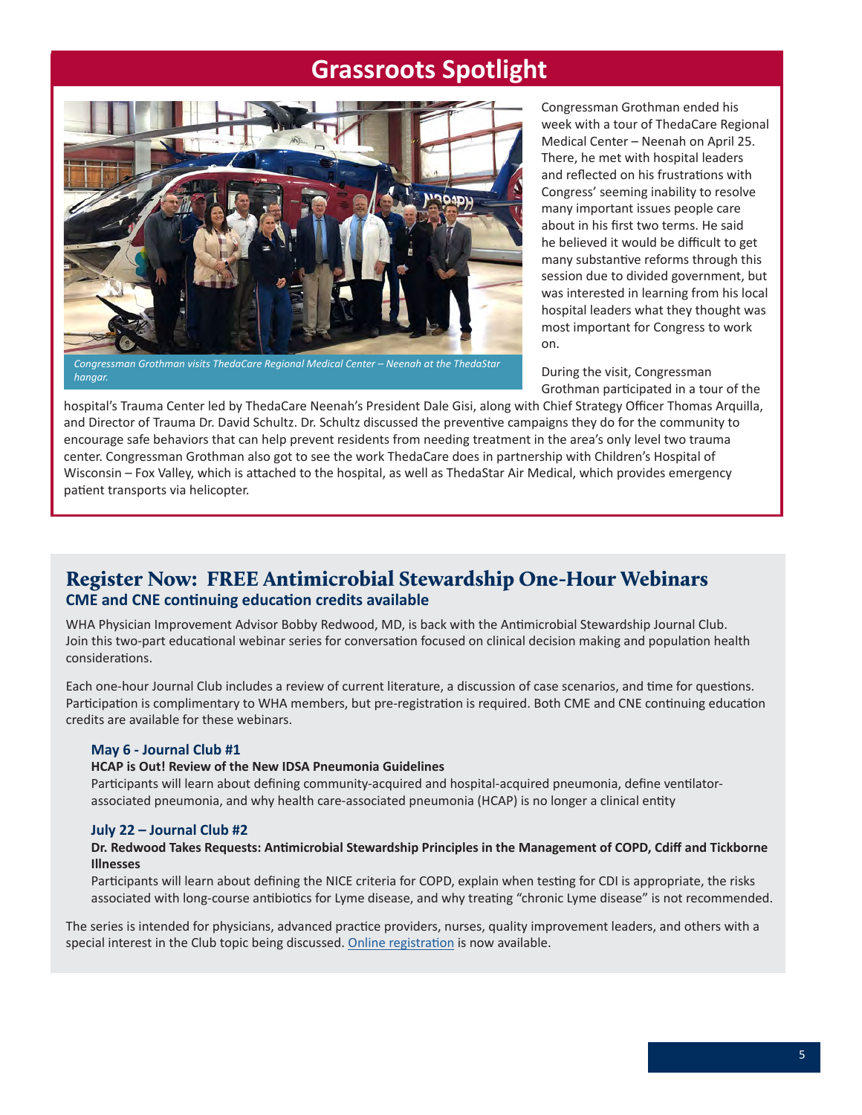## **Grassroots Spotlight**

<span id="page-4-0"></span>

*hangar.*

Congressman Grothman ended his week with a tour of ThedaCare Regional Medical Center – Neenah on April 25. There, he met with hospital leaders and reflected on his frustrations with Congress' seeming inability to resolve many important issues people care about in his first two terms. He said he believed it would be difficult to get many substantive reforms through this session due to divided government, but was interested in learning from his local hospital leaders what they thought was most important for Congress to work on.

During the visit, Congressman Grothman participated in a tour of the

hospital's Trauma Center led by ThedaCare Neenah's President Dale Gisi, along with Chief Strategy Officer Thomas Arquilla, and Director of Trauma Dr. David Schultz. Dr. Schultz discussed the preventive campaigns they do for the community to encourage safe behaviors that can help prevent residents from needing treatment in the area's only level two trauma center. Congressman Grothman also got to see the work ThedaCare does in partnership with Children's Hospital of Wisconsin – Fox Valley, which is attached to the hospital, as well as ThedaStar Air Medical, which provides emergency patient transports via helicopter.

### Register Now: FREE Antimicrobial Stewardship One-Hour Webinars **CME and CNE continuing education credits available**

WHA Physician Improvement Advisor Bobby Redwood, MD, is back with the Antimicrobial Stewardship Journal Club. Join this two-part educational webinar series for conversation focused on clinical decision making and population health considerations.

Each one-hour Journal Club includes a review of current literature, a discussion of case scenarios, and time for questions. Participation is complimentary to WHA members, but pre-registration is required. Both CME and CNE continuing education credits are available for these webinars.

#### **May 6 - Journal Club #1**

#### **HCAP is Out! Review of the New IDSA Pneumonia Guidelines**

Participants will learn about defining community-acquired and hospital-acquired pneumonia, define ventilatorassociated pneumonia, and why health care-associated pneumonia (HCAP) is no longer a clinical entity

#### **July 22 – Journal Club #2**

#### **Dr. Redwood Takes Requests: Antimicrobial Stewardship Principles in the Management of COPD, Cdiff and Tickborne Illnesses**

Participants will learn about defining the NICE criteria for COPD, explain when testing for CDI is appropriate, the risks associated with long-course antibiotics for Lyme disease, and why treating "chronic Lyme disease" is not recommended.

The series is intended for physicians, advanced practice providers, nurses, quality improvement leaders, and others with a special interest in the Club topic being discussed. [Online registration](http://www.whareg4.org/webjournalclub2019/Home.aspx) is now available.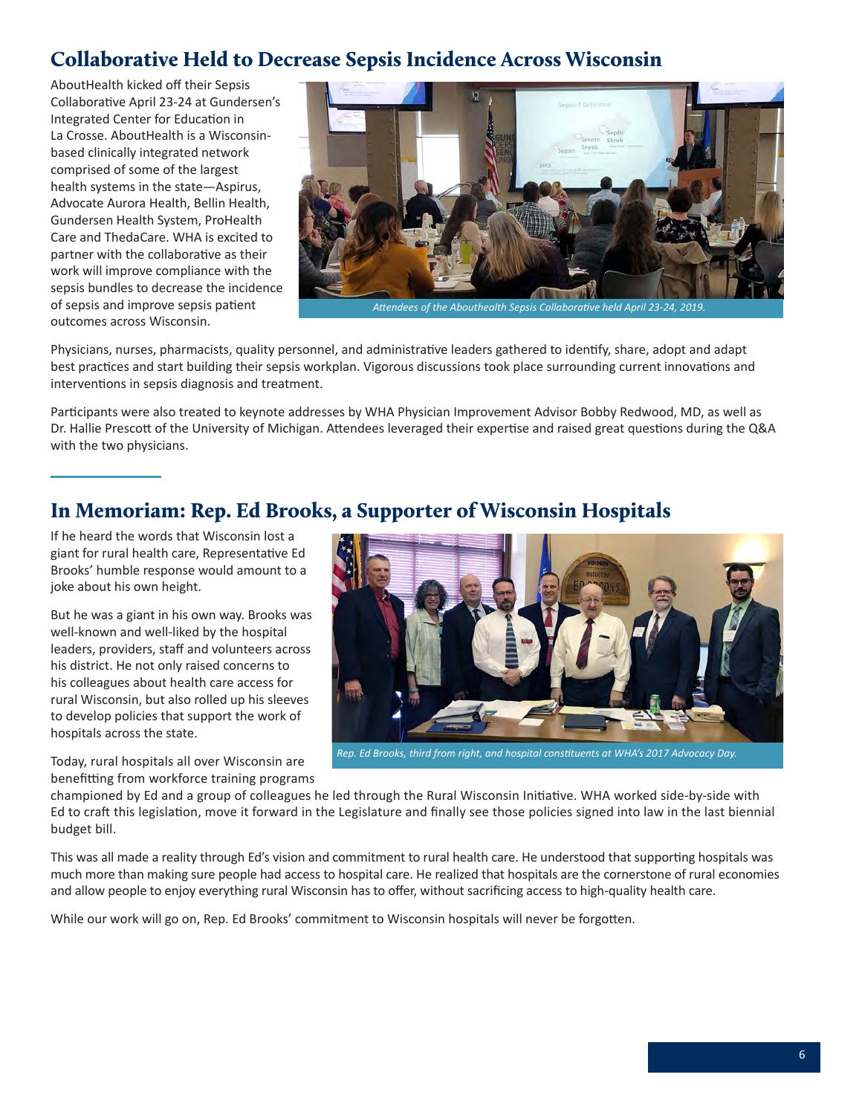### <span id="page-5-0"></span>Collaborative Held to Decrease Sepsis Incidence Across Wisconsin

AboutHealth kicked off their Sepsis Collaborative April 23-24 at Gundersen's Integrated Center for Education in La Crosse. AboutHealth is a Wisconsinbased clinically integrated network comprised of some of the largest health systems in the state—Aspirus, Advocate Aurora Health, Bellin Health, Gundersen Health System, ProHealth Care and ThedaCare. WHA is excited to partner with the collaborative as their work will improve compliance with the sepsis bundles to decrease the incidence of sepsis and improve sepsis patient outcomes across Wisconsin.



*Attendees of the Abouthealth Sepsis Collaborative held April 23-24, 2019.*

Physicians, nurses, pharmacists, quality personnel, and administrative leaders gathered to identify, share, adopt and adapt best practices and start building their sepsis workplan. Vigorous discussions took place surrounding current innovations and interventions in sepsis diagnosis and treatment.

Participants were also treated to keynote addresses by WHA Physician Improvement Advisor Bobby Redwood, MD, as well as Dr. Hallie Prescott of the University of Michigan. Attendees leveraged their expertise and raised great questions during the Q&A with the two physicians.

### In Memoriam: Rep. Ed Brooks, a Supporter of Wisconsin Hospitals

If he heard the words that Wisconsin lost a giant for rural health care, Representative Ed Brooks' humble response would amount to a joke about his own height.

But he was a giant in his own way. Brooks was well-known and well-liked by the hospital leaders, providers, staff and volunteers across his district. He not only raised concerns to his colleagues about health care access for rural Wisconsin, but also rolled up his sleeves to develop policies that support the work of hospitals across the state.

Today, rural hospitals all over Wisconsin are

*Rep. Ed Brooks, third from right, and hospital constituents at WHA's 2017 Advocacy Day.*

benefitting from workforce training programs

championed by Ed and a group of colleagues he led through the Rural Wisconsin Initiative. WHA worked side-by-side with Ed to craft this legislation, move it forward in the Legislature and finally see those policies signed into law in the last biennial budget bill.

This was all made a reality through Ed's vision and commitment to rural health care. He understood that supporting hospitals was much more than making sure people had access to hospital care. He realized that hospitals are the cornerstone of rural economies and allow people to enjoy everything rural Wisconsin has to offer, without sacrificing access to high-quality health care.

While our work will go on, Rep. Ed Brooks' commitment to Wisconsin hospitals will never be forgotten.